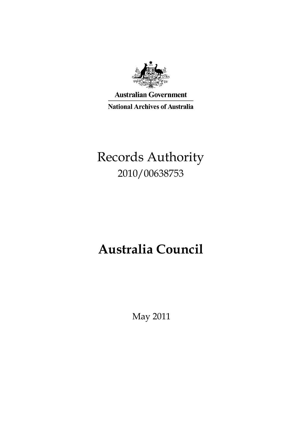

**Australian Government National Archives of Australia** 

# Records Authority 2010/00638753

# **Australia Council**

May 2011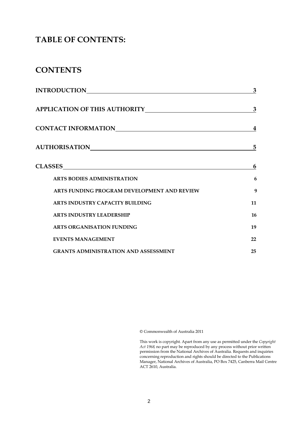### **TABLE OF CONTENTS:**

### **CONTENTS**

| <b>INTRODUCTION</b>                         | 3  |
|---------------------------------------------|----|
|                                             | 3  |
|                                             | 4  |
|                                             | 5  |
|                                             | 6  |
| <b>ARTS BODIES ADMINISTRATION</b>           | 6  |
| ARTS FUNDING PROGRAM DEVELOPMENT AND REVIEW | 9  |
| ARTS INDUSTRY CAPACITY BUILDING             | 11 |
| <b>ARTS INDUSTRY LEADERSHIP</b>             | 16 |
| <b>ARTS ORGANISATION FUNDING</b>            | 19 |
| <b>EVENTS MANAGEMENT</b>                    | 22 |
| <b>GRANTS ADMINISTRATION AND ASSESSMENT</b> | 25 |

© Commonwealth of Australia 2011

This work is copyright. Apart from any use as permitted under the *Copyright Act 1968,* no part may be reproduced by any process without prior written permission from the National Archives of Australia. Requests and inquiries concerning reproduction and rights should be directed to the Publications Manager, National Archives of Australia, PO Box 7425, Canberra Mail Centre ACT 2610, Australia.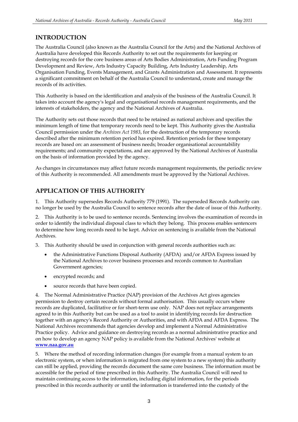### **INTRODUCTION**

The Australia Council (also known as the Australia Council for the Arts) and the National Archives of Australia have developed this Records Authority to set out the requirements for keeping or destroying records for the core business areas of Arts Bodies Administration, Arts Funding Program Development and Review, Arts Industry Capacity Building, Arts Industry Leadership, Arts Organisation Funding, Events Management, and Grants Administration and Assessment. It represents a significant commitment on behalf of the Australia Council to understand, create and manage the records of its activities.

This Authority is based on the identification and analysis of the business of the Australia Council. It takes into account the agency's legal and organisational records management requirements, and the interests of stakeholders, the agency and the National Archives of Australia.

The Authority sets out those records that need to be retained as national archives and specifies the minimum length of time that temporary records need to be kept. This Authority gives the Australia Council permission under the *Archives Act 1983*, for the destruction of the temporary records described after the minimum retention period has expired. Retention periods for these temporary records are based on: an assessment of business needs; broader organisational accountability requirements; and community expectations, and are approved by the National Archives of Australia on the basis of information provided by the agency.

As changes in circumstances may affect future records management requirements, the periodic review of this Authority is recommended. All amendments must be approved by the National Archives.

### **APPLICATION OF THIS AUTHORITY**

1. This Authority supersedes Records Authority 779 (1991). The superseded Records Authority can no longer be used by the Australia Council to sentence records after the date of issue of this Authority.

2. This Authority is to be used to sentence records. Sentencing involves the examination of records in order to identify the individual disposal class to which they belong. This process enables sentencers to determine how long records need to be kept. Advice on sentencing is available from the National Archives.

3. This Authority should be used in conjunction with general records authorities such as:

- the Administrative Functions Disposal Authority (AFDA) and/or AFDA Express issued by the National Archives to cover business processes and records common to Australian Government agencies;
- encrypted records; and
- source records that have been copied.

4. The Normal Administrative Practice (NAP) provision of the Archives Act gives agencies permission to destroy certain records without formal authorisation. This usually occurs where records are duplicated, facilitative or for short-term use only. NAP does not replace arrangements agreed to in this Authority but can be used as a tool to assist in identifying records for destruction together with an agency's Record Authority or Authorities, and with AFDA and AFDA Express. The National Archives recommends that agencies develop and implement a Normal Administrative Practice policy. Advice and guidance on destroying records as a normal administrative practice and on how to develop an agency NAP policy is available from the National Archives' website at **[www.naa.gov.au](http://www.naa.gov.au/)**

5. Where the method of recording information changes (for example from a manual system to an electronic system, or when information is migrated from one system to a new system) this authority can still be applied, providing the records document the same core business. The information must be accessible for the period of time prescribed in this Authority. The Australia Council will need to maintain continuing access to the information, including digital information, for the periods prescribed in this records authority or until the information is transferred into the custody of the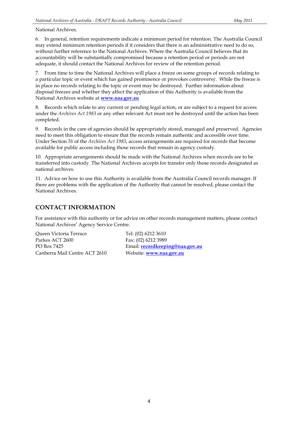National Archives.

6. In general, retention requirements indicate a minimum period for retention. The Australia Council may extend minimum retention periods if it considers that there is an administrative need to do so, without further reference to the National Archives. Where the Australia Council believes that its accountability will be substantially compromised because a retention period or periods are not adequate, it should contact the National Archives for review of the retention period.

7. From time to time the National Archives will place a freeze on some groups of records relating to a particular topic or event which has gained prominence or provokes controversy. While the freeze is in place no records relating to the topic or event may be destroyed. Further information about disposal freezes and whether they affect the application of this Authority is available from the National Archives website at **[www.naa.gov.au](http://www.naa.gov.au/)**

8. Records which relate to any current or pending legal action, or are subject to a request for access under the *Archives Act 1983* or any other relevant Act must not be destroyed until the action has been completed.

9. Records in the care of agencies should be appropriately stored, managed and preserved. Agencies need to meet this obligation to ensure that the records remain authentic and accessible over time. Under Section 31 of the *Archives Act 1983*, access arrangements are required for records that become available for public access including those records that remain in agency custody.

10. Appropriate arrangements should be made with the National Archives when records are to be transferred into custody. The National Archives accepts for transfer only those records designated as national archives.

11. Advice on how to use this Authority is available from the Australia Council records manager. If there are problems with the application of the Authority that cannot be resolved, please contact the National Archives.

### **CONTACT INFORMATION**

For assistance with this authority or for advice on other records management matters, please contact National Archives' Agency Service Centre.

Queen Victoria Terrace Tel: (02) 6212 3610 Parkes ACT 2600 Fax: (02) 6212 3989 Canberra Mail Centre ACT 2610 Website: **[www.naa.gov.au](http://www.naa.gov.au/)**

PO Box 7425 Email: **[recordkeeping@naa.gov.au](mailto:recordkeeping@naa.gov.au)**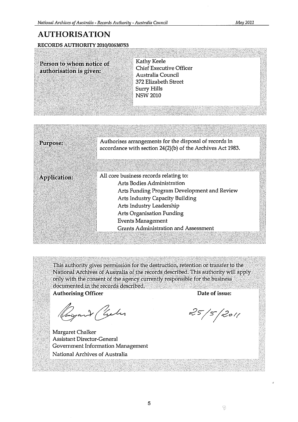### **AUTHORISATION**

RECORDS AUTHORITY 2010/00638753

| Person to whom notice of | Kathy Keele                    |  |
|--------------------------|--------------------------------|--|
| authorisation is given:  | <b>Chief Executive Officer</b> |  |
|                          | Australia Council              |  |
|                          | 372 Elizabeth Street           |  |
|                          | <b>Surry Hills</b>             |  |
|                          | <b>NSW 2010</b>                |  |
|                          |                                |  |
|                          |                                |  |
|                          |                                |  |

| Purpose:            | Authorises arrangements for the disposal of records in<br>accordance with section 24(2)(b) of the Archives Act 1983. |
|---------------------|----------------------------------------------------------------------------------------------------------------------|
| <b>Application:</b> | All core business records relating to:<br>Arts Bodies Administration                                                 |
|                     | Arts Funding Program Development and Review                                                                          |
|                     | Arts Industry Capacity Building                                                                                      |
|                     | Arts Industry Leadership                                                                                             |
|                     | <b>Arts Organisation Funding</b>                                                                                     |
|                     | <b>Events Management</b>                                                                                             |
|                     | Grants Administration and Assessment                                                                                 |
|                     |                                                                                                                      |

This authority gives permission for the destruction, retention or transfer to the National Archives of Australia of the records described. This authority will apply only with the consent of the agency currently responsible for the business documented in the records described.

**Authorising Officer** 

Rugard Chaler

. Margaret Chalker Assistant Director-General Government Information Management National Archives of Australia

Date of issue:

 $25/5/2011$ 

ぐ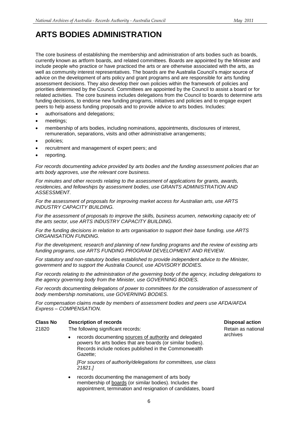## **ARTS BODIES ADMINISTRATION**

The core business of establishing the membership and administration of arts bodies such as boards, currently known as artform boards, and related committees. Boards are appointed by the Minister and include people who practice or have practiced the arts or are otherwise associated with the arts, as well as community interest representatives. The boards are the Australia Council's major source of advice on the development of arts policy and grant programs and are responsible for arts funding assessment decisions. They also develop their own policies within the framework of policies and priorities determined by the Council. Committees are appointed by the Council to assist a board or for related activities. The core business includes delegations from the Council to boards to determine arts funding decisions, to endorse new funding programs, initiatives and policies and to engage expert peers to help assess funding proposals and to provide advice to arts bodies. Includes:

- authorisations and delegations;
- meetings;
- membership of arts bodies, including nominations, appointments, disclosures of interest, remuneration, separations, visits and other administrative arrangements;
- policies;
- recruitment and management of expert peers; and
- reporting.

*For records documenting advice provided by arts bodies and the funding assessment policies that an arts body approves, use the relevant core business.*

*For minutes and other records relating to the assessment of applications for grants, awards, residencies, and fellowships by assessment bodies, use GRANTS ADMINISTRATION AND ASSESSMENT.*

*For the assessment of proposals for improving market access for Australian arts, use ARTS INDUSTRY CAPACITY BUILDING.*

*For the assessment of proposals to improve the skills, business acumen, networking capacity etc of the arts sector, use ARTS INDUSTRY CAPACITY BUILDING.*

*For the funding decisions in relation to arts organisation to support their base funding, use ARTS ORGANISATION FUNDING.*

*For the development, research and planning of new funding programs and the review of existing arts funding programs, use ARTS FUNDING PROGRAM DEVELOPMENT AND REVIEW.*

*For statutory and non-statutory bodies established to provide independent advice to the Minister, government and to support the Australia Council, use ADVISORY BODIES.*

*For records relating to the administration of the governing body of the agency, including delegations to the agency governing body from the Minister, use GOVERNING BODIES.*

For records documenting delegations of power to committees for the consideration of assessment of *body membership nominations, use GOVERNING BODIES.*

*For compensation claims made by members of assessment bodies and peers use AFDA/AFDA Express – COMPENSATION.*

| <b>Class No</b> | <b>Description of records</b>                                                                                                                                                                           |                               |
|-----------------|---------------------------------------------------------------------------------------------------------------------------------------------------------------------------------------------------------|-------------------------------|
| 21820           | The following significant records:                                                                                                                                                                      | Retain as nationa<br>archives |
|                 | records documenting sources of authority and delegated<br>$\bullet$<br>powers for arts bodies that are boards (or similar bodies).<br>Records include notices published in the Commonwealth<br>Gazette; |                               |
|                 | [For sources of authority/delegations for committees, use class<br>21821.1                                                                                                                              |                               |

 records documenting the management of arts body membership of boards (or similar bodies). Includes the appointment, termination and resignation of candidates, board etain as national chives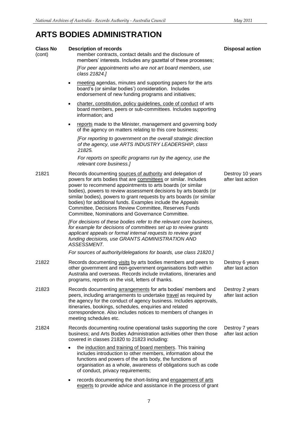## **ARTS BODIES ADMINISTRATION**

| <b>Class No</b> | <b>Description of records</b>                                                                                                                                                                                                                                                                                                                                                                                                                                                                                       | <b>Disposal action</b>                |
|-----------------|---------------------------------------------------------------------------------------------------------------------------------------------------------------------------------------------------------------------------------------------------------------------------------------------------------------------------------------------------------------------------------------------------------------------------------------------------------------------------------------------------------------------|---------------------------------------|
| (cont)          | member contracts, contact details and the disclosure of<br>members' interests. Includes any gazettal of these processes;                                                                                                                                                                                                                                                                                                                                                                                            |                                       |
|                 | [For peer appointments who are not art board members, use<br>class 21824.]                                                                                                                                                                                                                                                                                                                                                                                                                                          |                                       |
|                 | meeting agendas, minutes and supporting papers for the arts<br>board's (or similar bodies') consideration. Includes<br>endorsement of new funding programs and initiatives;                                                                                                                                                                                                                                                                                                                                         |                                       |
|                 | charter, constitution, policy guidelines, code of conduct of arts<br>٠<br>board members, peers or sub-committees. Includes supporting<br>information; and                                                                                                                                                                                                                                                                                                                                                           |                                       |
|                 | reports made to the Minister, management and governing body<br>of the agency on matters relating to this core business;                                                                                                                                                                                                                                                                                                                                                                                             |                                       |
|                 | [For reporting to government on the overall strategic direction<br>of the agency, use ARTS INDUSTRY LEADERSHIP, class<br>21825.                                                                                                                                                                                                                                                                                                                                                                                     |                                       |
|                 | For reports on specific programs run by the agency, use the<br>relevant core business.]                                                                                                                                                                                                                                                                                                                                                                                                                             |                                       |
| 21821           | Records documenting sources of authority and delegation of<br>powers for arts bodies that are committees or similar. Includes<br>power to recommend appointments to arts boards (or similar<br>bodies), powers to review assessment decisions by arts boards (or<br>similar bodies), powers to grant requests by arts boards (or similar<br>bodies) for additional funds. Examples include the Appeals<br>Committee, Decisions Review Committee, Reserves Funds<br>Committee, Nominations and Governance Committee. | Destroy 10 years<br>after last action |
|                 | [For decisions of these bodies refer to the relevant core business,<br>for example for decisions of committees set up to review grants<br>applicant appeals or formal internal requests to review grant<br>funding decisions, use GRANTS ADMINISTRATION AND<br>ASSESSMENT.                                                                                                                                                                                                                                          |                                       |
|                 | For sources of authority/delegations for boards, use class 21820.]                                                                                                                                                                                                                                                                                                                                                                                                                                                  |                                       |
| 21822           | Records documenting visits by arts bodies members and peers to<br>other government and non-government organisations both within<br>Australia and overseas. Records include invitations, itineraries and<br>programs, reports on the visit, letters of thanks.                                                                                                                                                                                                                                                       | Destroy 6 years<br>after last action  |
| 21823           | Records documenting arrangements for arts bodies' members and<br>peers, including arrangements to undertake travel as required by<br>the agency for the conduct of agency business. Includes approvals,<br>itineraries, bookings, schedules, enquiries and related<br>correspondence. Also includes notices to members of changes in<br>meeting schedules etc.                                                                                                                                                      | Destroy 2 years<br>after last action  |
| 21824           | Records documenting routine operational tasks supporting the core<br>business; and Arts Bodies Administration activities other then those<br>covered in classes 21820 to 21823 including:                                                                                                                                                                                                                                                                                                                           | Destroy 7 years<br>after last action  |
|                 | the induction and training of board members. This training<br>includes introduction to other members, information about the<br>functions and powers of the arts body, the functions of<br>organisation as a whole, awareness of obligations such as code<br>of conduct, privacy requirements;                                                                                                                                                                                                                       |                                       |
|                 | records documenting the short-listing and engagement of arts<br>٠<br>experts to provide advice and assistance in the process of grant                                                                                                                                                                                                                                                                                                                                                                               |                                       |
|                 |                                                                                                                                                                                                                                                                                                                                                                                                                                                                                                                     |                                       |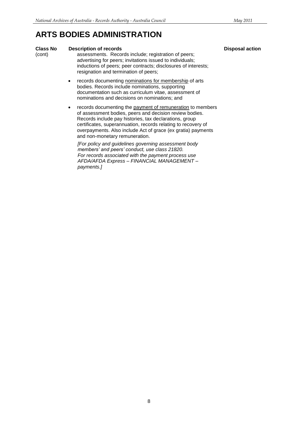### **ARTS BODIES ADMINISTRATION**

#### **Class No. Bescription of records Disposal action**

(cont) assessments. Records include; registration of peers; advertising for peers; invitations issued to individuals; inductions of peers; peer contracts; disclosures of interests; resignation and termination of peers;

- records documenting nominations for membership of arts bodies. Records include nominations, supporting documentation such as curriculum vitae, assessment of nominations and decisions on nominations; and
- records documenting the payment of remuneration to members of assessment bodies, peers and decision review bodies. Records include pay histories, tax declarations, group certificates, superannuation, records relating to recovery of overpayments. Also include Act of grace (ex gratia) payments and non-monetary remuneration.

*[For policy and guidelines governing assessment body members' and peers' conduct, use class 21820. For records associated with the payment process use AFDA/AFDA Express – FINANCIAL MANAGEMENT – payments.]*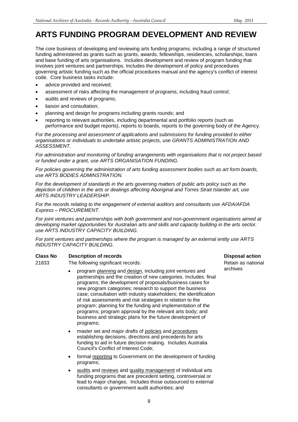## **ARTS FUNDING PROGRAM DEVELOPMENT AND REVIEW**

The core business of developing and reviewing arts funding programs, including a range of structured funding administered as grants such as grants, awards, fellowships, residencies, scholarships, loans and base funding of arts organisations. Includes development and review of program funding that involves joint ventures and partnerships. Includes the development of policy and procedures governing artistic funding such as the official procedures manual and the agency's conflict of interest code. Core business tasks include:

- advice provided and received;
- assessment of risks affecting the management of programs, including fraud control;
- audits and reviews of programs;
- liaison and consultation;
- planning and design for programs including grants rounds; and
- reporting to relevant authorities, including departmental and portfolio reports (such as performance and budget reports), reports to boards, reports to the governing body of the Agency.

*For the processing and assessment of applications and submissions for funding provided to either organisations or individuals to undertake artistic projects, use GRANTS ADMINISTRATION AND ASSESSMENT.*

*For administration and monitoring of funding arrangements with organisations that is not project based or funded under a grant, use ARTS ORGANISATION FUNDING.*

*For policies governing the administration of arts funding assessment bodies such as art form boards, use ARTS BODIES ADMINSTRATION.*

*For the development of standards in the arts governing matters of public arts policy such as the depiction of children in the arts or dealings affecting Aboriginal and Torres Strait Islander art, use ARTS INDUSTRY LEADERSHIP.*

*For the records relating to the engagement of external auditors and consultants use AFDA/AFDA Express – PROCUREMENT.*

*For joint ventures and partnerships with both government and non-government organisations aimed at developing market opportunities for Australian arts and skills and capacity building in the arts sector, use ARTS INDUSTRY CAPACITY BUILDING.*

*For joint ventures and partnerships where the program is managed by an external entity use ARTS INDUSTRY CAPACITY BUILDING.*

### **Class No Description of records Disposal action**

21833 The following significant records:

- program planning and design, including joint ventures and partnerships and the creation of new categories. Includes: final programs; the development of proposals/business cases for new program categories; research to support the business case; consultation with industry stakeholders; the identification of risk assessments and risk strategies in relation to the program; planning for the funding and implementation of the programs; program approval by the relevant arts body; and business and strategic plans for the future development of programs;
- master set and major drafts of policies and procedures establishing decisions, directions and precedents for arts funding to aid in future decision making. Includes Australia Council's Conflict of Interest Code;
- formal reporting to Government on the development of funding programs;
- audits and reviews and quality management of individual arts funding programs that are precedent setting, controversial or lead to major changes. Includes those outsourced to external consultants or government audit authorities; and

Retain as national archives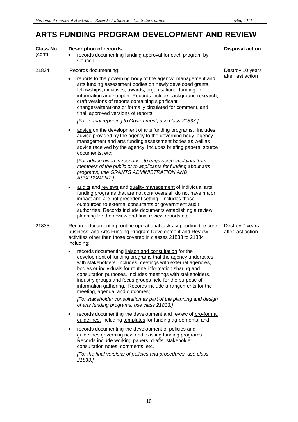### **ARTS FUNDING PROGRAM DEVELOPMENT AND REVIEW**

| <b>Class No</b><br>(cont) |           | <b>Description of records</b><br>records documenting funding approval for each program by<br>Council.                                                                                                                                                                                                                                                                                                                                                                                                                                           | <b>Disposal action</b>               |  |  |  |
|---------------------------|-----------|-------------------------------------------------------------------------------------------------------------------------------------------------------------------------------------------------------------------------------------------------------------------------------------------------------------------------------------------------------------------------------------------------------------------------------------------------------------------------------------------------------------------------------------------------|--------------------------------------|--|--|--|
| 21834                     |           | Records documenting:<br>Destroy 10 years                                                                                                                                                                                                                                                                                                                                                                                                                                                                                                        |                                      |  |  |  |
|                           |           | reports to the governing body of the agency, management and<br>arts funding assessment bodies on newly developed grants,<br>fellowships, initiatives, awards, organisational funding, for<br>information and support. Records include background research,<br>draft versions of reports containing significant<br>changes/alterations or formally circulated for comment, and<br>final, approved versions of reports;                                                                                                                           | after last action                    |  |  |  |
|                           |           | [For formal reporting to Government, use class 21833.]                                                                                                                                                                                                                                                                                                                                                                                                                                                                                          |                                      |  |  |  |
|                           | ٠         | advice on the development of arts funding programs. Includes<br>advice provided by the agency to the governing body, agency<br>management and arts funding assessment bodes as well as<br>advice received by the agency. Includes briefing papers, source<br>documents, etc;<br>[For advice given in response to enquiries/complaints from<br>members of the public or to applicants for funding about arts<br>programs, use GRANTS ADMINISTRATION AND<br>ASSESSMENT.]                                                                          |                                      |  |  |  |
|                           | ٠         | audits and reviews and quality management of individual arts<br>funding programs that are not controversial, do not have major<br>impact and are not precedent setting. Includes those<br>outsourced to external consultants or government audit<br>authorities. Records include documents establishing a review,<br>planning for the review and final review reports etc.                                                                                                                                                                      |                                      |  |  |  |
| 21835                     |           | Records documenting routine operational tasks supporting the core<br>business; and Arts Funding Program Development and Review<br>activities other than those covered in classes 21833 to 21834<br>including:                                                                                                                                                                                                                                                                                                                                   | Destroy 7 years<br>after last action |  |  |  |
|                           | $\bullet$ | records documenting liaison and consultation for the<br>development of funding programs that the agency undertakes<br>with stakeholders. Includes meetings with external agencies,<br>bodies or individuals for routine information sharing and<br>consultation purposes. Includes meetings with stakeholders,<br>industry groups and focus groups held for the purpose of<br>information gathering. Records include arrangements for the<br>meeting, agenda, and outcomes;<br>[For stakeholder consultation as part of the planning and design |                                      |  |  |  |
|                           |           | of arts funding programs, use class 21833.]                                                                                                                                                                                                                                                                                                                                                                                                                                                                                                     |                                      |  |  |  |
|                           | ٠         | records documenting the development and review of pro-forma,<br>guidelines, including templates for funding agreements; and                                                                                                                                                                                                                                                                                                                                                                                                                     |                                      |  |  |  |
|                           | $\bullet$ | records documenting the development of policies and<br>guidelines governing new and existing funding programs.<br>Records include working papers, drafts, stakeholder<br>consultation notes, comments, etc.                                                                                                                                                                                                                                                                                                                                     |                                      |  |  |  |
|                           |           | [For the final versions of policies and procedures, use class<br>21833.1                                                                                                                                                                                                                                                                                                                                                                                                                                                                        |                                      |  |  |  |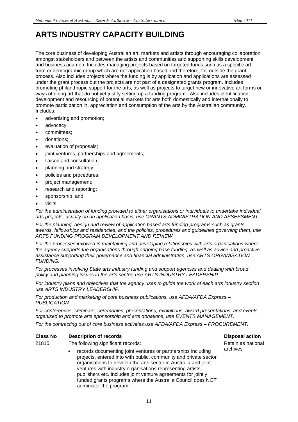The core business of developing Australian art, markets and artists through encouraging collaboration amongst stakeholders and between the artists and communities and supporting skills development and business acumen. Includes managing projects based on targeted funds such as a specific art form or demographic group which are not application based and therefore, fall outside the grant process. Also includes projects where the funding is by application and applications are assessed under the grant process but the projects are not part of a designated grants program. Includes promoting philanthropic support for the arts, as well as projects to target new or innovative art forms or ways of doing art that do not yet justify setting up a funding program. Also includes identification, development and resourcing of potential markets for arts both domestically and internationally to promote participation in, appreciation and consumption of the arts by the Australian community. Includes:

- advertising and promotion;
- advocacy;
- committees;
- donations;
- evaluation of proposals;
- joint ventures, partnerships and agreements;
- liaison and consultation;
- planning and strategy;
- policies and procedures;
- project management;
- research and reporting;
- sponsorship; and
- visits.

*For the administration of funding provided to either organisations or individuals to undertake individual arts projects, usually on an application basis, use GRANTS ADMINISTRATION AND ASSESSMENT.*

*For the planning, design and review of application based arts funding programs such as grants, awards, fellowships and residencies, and the policies, procedures and guidelines governing them, use ARTS FUNDING PROGRAM DEVELOPMENT AND REVIEW.*

*For the processes involved in maintaining and developing relationships with arts organisations where the agency supports the organisations through ongoing base funding, as well as advice and proactive assistance supporting their governance and financial administration, use ARTS ORGANISATION FUNDING.*

*For processes involving State arts industry funding and support agencies and dealing with broad policy and planning issues in the arts sector, use ARTS INDUSTRY LEADERSHIP.*

*For industry plans and objectives that the agency uses to guide the work of each arts industry section use ARTS INDUSTRY LEADERSHIP.*

*For production and marketing of core business publications, use AFDA/AFDA Express – PUBLICATION.*

*For conferences, seminars, ceremonies, presentations, exhibitions, award presentations, and events organised to promote arts sponsorship and arts donations, use EVENTS MANAGEMENT.*

*For the contracting out of core business activities use AFDA/AFDA Express – PROCUREMENT.*

#### **Class No Description of records Disposal action**

- 21815 The following significant records:
	- records documenting joint ventures or partnerships including projects, entered into with public, community and private sector organisations to develop the arts sector in Australia and joint ventures with industry organisations representing artists, publishers etc. Includes joint venture agreements for jointly funded grants programs where the Australia Council does NOT administer the program*;*

Retain as national archives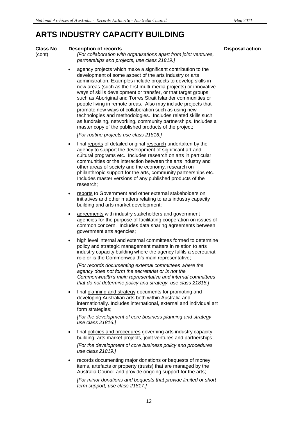#### **Class No Description of records Disposal action**

#### (cont) *[For collaboration with organisations apart from joint ventures, partnerships and projects, use class 21819.]*

 agency projects which make a significant contribution to the development of some aspect of the arts industry or arts administration. Examples include projects to develop skills in new areas (such as the first multi-media projects) or innovative ways of skills development or transfer, or that target groups such as Aboriginal and Torres Strait Islander communities or people living in remote areas. Also may include projects that promote new ways of collaboration such as using new technologies and methodologies. Includes related skills such as fundraising, networking, community partnerships. Includes a master copy of the published products of the project;

*[For routine projects use class 21816.]*

- final reports of detailed original research undertaken by the agency to support the development of significant art and cultural programs etc. Includes research on arts in particular communities or the interaction between the arts industry and other areas of society and the economy, research on philanthropic support for the arts, community partnerships etc. Includes master versions of any published products of the research;
- reports to Government and other external stakeholders on initiatives and other matters relating to arts industry capacity building and arts market development;
- agreements with industry stakeholders and government agencies for the purpose of facilitating cooperation on issues of common concern. Includes data sharing agreements between government arts agencies;
- high level internal and external committees formed to determine policy and strategic management matters in relation to arts industry capacity building where the agency fulfils a secretariat role or is the Commonwealth's main representative;

*[For records documenting external committees where the agency does not form the secretariat or is not the Commonwealth's main representative and internal committees that do not determine policy and strategy, use class 21818.]*

 final planning and strategy documents for promoting and developing Australian arts both within Australia and internationally. Includes international, external and individual art form strategies;

*[For the development of core business planning and strategy use class 21816.]*

 final policies and procedures governing arts industry capacity building, arts market projects, joint ventures and partnerships;

*[For the development of core business policy and procedures use class 21819.]*

 records documenting major donations or bequests of money, items, artefacts or property (trusts) that are managed by the Australia Council and provide ongoing support for the arts;

*[For minor donations and bequests that provide limited or short term support, use class 21817.]*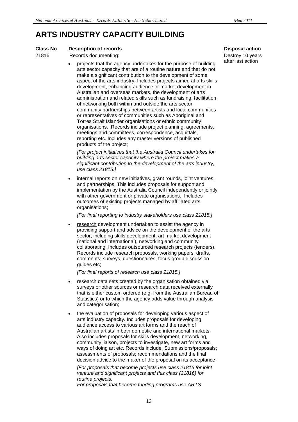### **Class No Description of records Disposal action**

- 21816 Records documenting:
	- projects that the agency undertakes for the purpose of building arts sector capacity that are of a routine nature and that do not make a significant contribution to the development of some aspect of the arts industry. Includes projects aimed at arts skills development, enhancing audience or market development in Australian and overseas markets, the development of arts administration and related skills such as fundraising, facilitation of networking both within and outside the arts sector, community partnerships between artists and local communities or representatives of communities such as Aboriginal and Torres Strait Islander organisations or ethnic community organisations. Records include project planning, agreements, meetings and committees, correspondence, acquittals, reporting etc. Includes any master versions of published products of the project;

*[For project initiatives that the Australia Council undertakes for building arts sector capacity where the project makes a significant contribution to the development of the arts industry, use class 21815.]*

 internal reports on new initiatives, grant rounds, joint ventures, and partnerships. This includes proposals for support and implementation by the Australia Council independently or jointly with other government or private organisations. Includes outcomes of existing projects managed by affiliated arts organisations;

*[For final reporting to industry stakeholders use class 21815.]*

 research development undertaken to assist the agency in providing support and advice on the development of the arts sector, including skills development, art market development (national and international), networking and community collaborating. Includes outsourced research projects (tenders). Records include research proposals, working papers, drafts, comments, surveys, questionnaires, focus group discussion guides etc;

*[For final reports of research use class 21815.]*

- research data sets created by the organisation obtained via surveys or other sources or research data received externally that is either custom ordered (e.g. from the Australian Bureau of Statistics) or to which the agency adds value through analysis and categorisation;
- the evaluation of proposals for developing various aspect of arts industry capacity. Includes proposals for developing audience access to various art forms and the reach of Australian artists in both domestic and international markets. Also includes proposals for skills development, networking, community liaison, projects to investigate, new art forms and ways of doing art etc. Records include: Submissions/proposals; assessments of proposals; recommendations and the final decision advice to the maker of the proposal on its acceptance;

*[For proposals that become projects use class 21815 for joint venture and significant projects and this class (21816) for routine projects.*

*For proposals that become funding programs use ARTS* 

Destroy 10 years after last action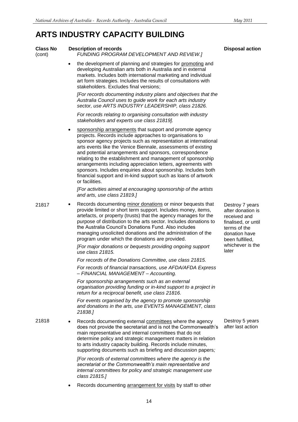| <b>Class No</b><br>(cont) |           | <b>Description of records</b><br><b>FUNDING PROGRAM DEVELOPMENT AND REVIEW.]</b>                                                                                                                                                                                                                                                                                                                                                                                                                                                                                                                        | <b>Disposal action</b>                                                                                                          |
|---------------------------|-----------|---------------------------------------------------------------------------------------------------------------------------------------------------------------------------------------------------------------------------------------------------------------------------------------------------------------------------------------------------------------------------------------------------------------------------------------------------------------------------------------------------------------------------------------------------------------------------------------------------------|---------------------------------------------------------------------------------------------------------------------------------|
|                           | $\bullet$ | the development of planning and strategies for promoting and<br>developing Australian arts both in Australia and in external<br>markets. Includes both international marketing and individual<br>art form strategies. Includes the results of consultations with<br>stakeholders. Excludes final versions;                                                                                                                                                                                                                                                                                              |                                                                                                                                 |
|                           |           | [For records documenting industry plans and objectives that the<br>Australia Council uses to guide work for each arts industry<br>sector, use ARTS INDUSTRY LEADERSHIP, class 21826.                                                                                                                                                                                                                                                                                                                                                                                                                    |                                                                                                                                 |
|                           |           | For records relating to organising consultation with industry<br>stakeholders and experts use class 21819].                                                                                                                                                                                                                                                                                                                                                                                                                                                                                             |                                                                                                                                 |
|                           | ٠         | sponsorship arrangements that support and promote agency<br>projects. Records include approaches to organisations to<br>sponsor agency projects such as representation at international<br>arts events like the Venice Biennale, assessments of existing<br>and potential arrangements and sponsors, correspondence<br>relating to the establishment and management of sponsorship<br>arrangements including appreciation letters, agreements with<br>sponsors. Includes enquiries about sponsorship. Includes both<br>financial support and in-kind support such as loans of artwork<br>or facilities. |                                                                                                                                 |
|                           |           | [For activities aimed at encouraging sponsorship of the artists<br>and arts, use class 21819.]                                                                                                                                                                                                                                                                                                                                                                                                                                                                                                          |                                                                                                                                 |
| 21817                     | ٠         | Records documenting minor donations or minor bequests that<br>provide limited or short term support. Includes money, items,<br>artefacts, or property (trusts) that the agency manages for the<br>purpose of distribution to the arts sector. Includes donations to<br>the Australia Council's Donations Fund. Also includes<br>managing unsolicited donations and the administration of the<br>program under which the donations are provided.                                                                                                                                                         | Destroy 7 years<br>after donation is<br>received and<br>finalised, or until<br>terms of the<br>donation have<br>been fulfilled, |
|                           |           | [For major donations or bequests providing ongoing support<br>use class 21815.                                                                                                                                                                                                                                                                                                                                                                                                                                                                                                                          | whichever is the<br>later                                                                                                       |
|                           |           | For records of the Donations Committee, use class 21815.                                                                                                                                                                                                                                                                                                                                                                                                                                                                                                                                                |                                                                                                                                 |
|                           |           | For records of financial transactions, use AFDA/AFDA Express<br>- FINANCIAL MANAGEMENT - Accounting.                                                                                                                                                                                                                                                                                                                                                                                                                                                                                                    |                                                                                                                                 |
|                           |           | For sponsorship arrangements such as an external<br>organisation providing funding or in-kind support to a project in<br>return for a reciprocal benefit, use class 21816.                                                                                                                                                                                                                                                                                                                                                                                                                              |                                                                                                                                 |
|                           |           | For events organised by the agency to promote sponsorship<br>and donations in the arts, use EVENTS MANAGEMENT, class<br>21838.]                                                                                                                                                                                                                                                                                                                                                                                                                                                                         |                                                                                                                                 |
| 21818                     | ٠         | Records documenting external committees where the agency<br>does not provide the secretariat and is not the Commonwealth's<br>main representative and internal committees that do not<br>determine policy and strategic management matters in relation<br>to arts industry capacity building. Records include minutes,<br>supporting documents such as briefing and discussion papers;                                                                                                                                                                                                                  | Destroy 5 years<br>after last action                                                                                            |
|                           |           | [For records of external committees where the agency is the<br>secretariat or the Commonwealth's main representative and<br>internal committees for policy and strategic management use<br>class 21815.]                                                                                                                                                                                                                                                                                                                                                                                                |                                                                                                                                 |
|                           |           | Records documenting arrangement for visits by staff to other                                                                                                                                                                                                                                                                                                                                                                                                                                                                                                                                            |                                                                                                                                 |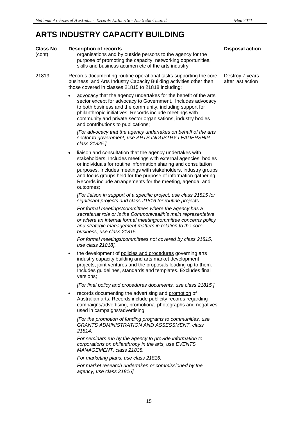### **Class No Description of records Disposal action** (cont) organisations and by outside persons to the agency for the purpose of promoting the capacity, networking opportunities, skills and business acumen etc of the arts industry. 21819 Records documenting routine operational tasks supporting the core business; and Arts Industry Capacity Building activities other then those covered in classes 21815 to 21818 including: advocacy that the agency undertakes for the benefit of the arts sector except for advocacy to Government. Includes advocacy to both business and the community, including support for philanthropic initiatives. Records include meetings with community and private sector organisations, industry bodies and contributions to publications; *[For advocacy that the agency undertakes on behalf of the arts sector to government, use ARTS INDUSTRY LEADERSHIP, class 21825.]* liaison and consultation that the agency undertakes with stakeholders. Includes meetings with external agencies, bodies or individuals for routine information sharing and consultation purposes. Includes meetings with stakeholders, industry groups and focus groups held for the purpose of information gathering. Records include arrangements for the meeting, agenda, and outcomes; *[For liaison in support of a specific project, use class 21815 for significant projects and class 21816 for routine projects. For formal meetings/committees where the agency has a secretariat role or is the Commonwealth's main representative or where an internal formal meeting/committee concerns policy and strategic management matters in relation to the core business, use class 21815. For formal meetings/committees not covered by class 21815, use class 21818].* the development of policies and procedures governing arts industry capacity building and arts market development projects, joint ventures and the proposals leading up to them. Includes guidelines, standards and templates. Excludes final versions; *[For final policy and procedures documents, use class 21815.]* records documenting the advertising and promotion of Australian arts. Records include publicity records regarding campaigns/advertising, promotional photographs and negatives used in campaigns/advertising. *[For the promotion of funding programs to communities, use GRANTS ADMINISTRATION AND ASSESSMENT, class 21814. For seminars run by the agency to provide information to corporations on philanthropy in the arts, use EVENTS MANAGEMENT, class 21838. For marketing plans, use class 21816. For market research undertaken or commissioned by the agency, use class 21816].* Destroy 7 years after last action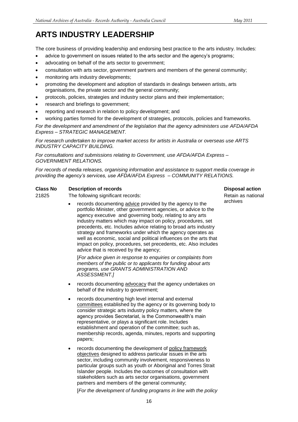## **ARTS INDUSTRY LEADERSHIP**

The core business of providing leadership and endorsing best practice to the arts industry. Includes:

- advice to government on issues related to the arts sector and the agency's programs;
- advocating on behalf of the arts sector to government;
- consultation with arts sector, government partners and members of the general community;
- monitoring arts industry developments;
- promoting the development and adoption of standards in dealings between artists, arts organisations, the private sector and the general community;
- protocols, policies, strategies and industry sector plans and their implementation;
- research and briefings to government;
- reporting and research in relation to policy development; and
- working parties formed for the development of strategies, protocols, policies and frameworks.

*For the development and amendment of the legislation that the agency administers use AFDA/AFDA Express – STRATEGIC MANAGEMENT.* 

*For research undertaken to improve market access for artists in Australia or overseas use ARTS INDUSTRY CAPACITY BUILDING.*

*For consultations and submissions relating to Government, use AFDA/AFDA Express – GOVERNMENT RELATIONS.*

*For records of media releases, organising information and assistance to support media coverage in providing the agency's services, use AFDA/AFDA Express – COMMUNITY RELATIONS.*

### **Class No Description of records Class Action Disposal action**

21825 The following significant records:

 records documenting advice provided by the agency to the portfolio Minister, other government agencies, or advice to the agency executive and governing body, relating to any arts industry matters which may impact on policy, procedures, set precedents, etc. Includes advice relating to broad arts industry strategy and frameworks under which the agency operates as well as economic, social and political influences on the arts that impact on policy, procedures, set precedents, etc. Also includes advice that is received by the agency;

[*For advice given in response to enquiries or complaints from members of the public or to applicants for funding about arts programs, use GRANTS ADMINISTRATION AND ASSESSMENT.]*

- records documenting advocacy that the agency undertakes on behalf of the industry to government;
- records documenting high level internal and external committees established by the agency or its governing body to consider strategic arts industry policy matters, where the agency provides Secretariat, is the Commonwealth's main representative, or plays a significant role. Includes establishment and operation of the committee; such as, membership records, agenda, minutes, reports and supporting papers;
- records documenting the development of policy framework objectives designed to address particular issues in the arts sector, including community involvement, responsiveness to particular groups such as youth or Aboriginal and Torres Strait Islander people. Includes the outcomes of consultation with stakeholders such as arts sector organisations, government partners and members of the general community;

[*For the development of funding programs in line with the policy* 

Retain as national archives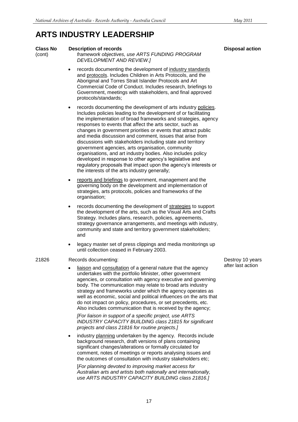### **ARTS INDUSTRY LEADERSHIP**

### (cont) *framework objectives, use ARTS FUNDING PROGRAM DEVELOPMENT AND REVIEW.]* records documenting the development of industry standards and protocols. Includes Children in Arts Protocols, and the Aboriginal and Torres Strait Islander Protocols and Art Commercial Code of Conduct. Includes research, briefings to Government, meetings with stakeholders, and final approved protocols/standards; records documenting the development of arts industry policies. Includes policies leading to the development of or facilitating the implementation of broad frameworks and strategies, agency responses to events that affect the arts sector, such as changes in government priorities or events that attract public and media discussion and comment, issues that arise from discussions with stakeholders including state and territory government agencies, arts organisation, community organisations, and art industry bodies. Also includes policy developed in response to other agency's legislative and regulatory proposals that impact upon the agency's interests or the interests of the arts industry generally; reports and briefings to government, management and the governing body on the development and implementation of strategies, arts protocols, policies and frameworks of the organisation; records documenting the development of strategies to support the development of the arts, such as the Visual Arts and Crafts Strategy. Includes plans, research, policies, agreements, strategy governance arrangements, and meetings with industry, community and state and territory government stakeholders; and legacy master set of press clippings and media monitorings up until collection ceased in February 2003. 21826 Records documenting: liaison and consultation of a general nature that the agency undertakes with the portfolio Minister, other government agencies, or consultation with agency executive and governing body. The communication may relate to broad arts industry strategy and frameworks under which the agency operates as well as economic, social and political influences on the arts that do not impact on policy, procedures, or set precedents, etc. Also includes communication that is received by the agency; *[For liaison in support of a specific project, use ARTS INDUSTRY CAPACITY BUILDING class 21815 for significant projects and class 21816 for routine projects.]* industry planning undertaken by the agency. Records include background research, draft versions of plans containing significant changes/alterations or formally circulated for comment, notes of meetings or reports analysing issues and the outcomes of consultation with industry stakeholders etc;

[*For planning devoted to improving market access for Australian arts and artists both nationally and internationally, use ARTS INDUSTRY CAPACITY BUILDING class 21816.]*

Destroy 10 years after last action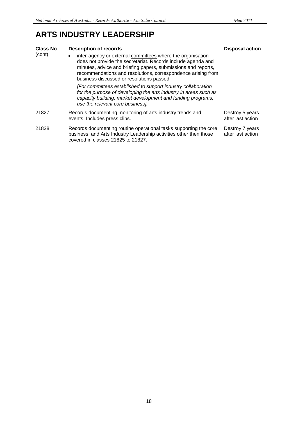### **ARTS INDUSTRY LEADERSHIP**

| <b>Class No</b> | <b>Description of records</b>                                                                                                                                                                                                                                                                            | <b>Disposal action</b>               |
|-----------------|----------------------------------------------------------------------------------------------------------------------------------------------------------------------------------------------------------------------------------------------------------------------------------------------------------|--------------------------------------|
| (cont)          | inter-agency or external committees where the organisation<br>does not provide the secretariat. Records include agenda and<br>minutes, advice and briefing papers, submissions and reports,<br>recommendations and resolutions, correspondence arising from<br>business discussed or resolutions passed; |                                      |
|                 | [For committees established to support industry collaboration<br>for the purpose of developing the arts industry in areas such as<br>capacity building, market development and funding programs,<br>use the relevant core business].                                                                     |                                      |
| 21827           | Records documenting monitoring of arts industry trends and<br>events. Includes press clips.                                                                                                                                                                                                              | Destroy 5 years<br>after last action |
| 21828           | Records documenting routine operational tasks supporting the core<br>business; and Arts Industry Leadership activities other then those<br>covered in classes 21825 to 21827.                                                                                                                            | Destroy 7 years<br>after last action |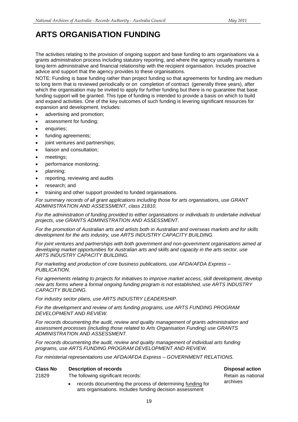## **ARTS ORGANISATION FUNDING**

The activities relating to the provision of ongoing support and base funding to arts organisations via a grants administration process including statutory reporting, and where the agency usually maintains a long-term administrative and financial relationship with the recipient organisation. Includes proactive advice and support that the agency provides to these organisations.

NOTE: Funding is base funding rather than project funding so that agreements for funding are medium to long term that is reviewed periodically or on completion of contract (generally three years), after which the organisation may be invited to apply for further funding but there is no guarantee that base funding support will be granted. This type of funding is intended to provide a basis on which to build and expand activities. One of the key outcomes of such funding is levering significant resources for expansion and development. Includes:

- advertising and promotion;
- assessment for funding;
- enquiries;
- funding agreements;
- joint ventures and partnerships;
- liaison and consultation;
- meetings;
- performance monitoring;
- planning;
- reporting, reviewing and audits
- research; and
- training and other support provided to funded organisations.

*For summary records of all grant applications including those for arts organisations, use GRANT ADMINISTRATION AND ASSESSMENT, class 21810.*

*For the administration of funding provided to either organisations or individuals to undertake individual projects, use GRANTS ADMINISTRATION AND ASSESSMENT.*

*For the promotion of Australian arts and artists both in Australian and overseas markets and for skills development for the arts industry, use ARTS INDUSTRY CAPACITY BUILDING.*

*For joint ventures and partnerships with both government and non-government organisations aimed at developing market opportunities for Australian arts and skills and capacity in the arts sector, use ARTS INDUSTRY CAPACITY BUILDING.*

*For marketing and production of core business publications, use AFDA/AFDA Express – PUBLICATION.*

*For agreements relating to projects for initiatives to improve market access, skill development, develop new arts forms where a formal ongoing funding program is not established, use ARTS INDUSTRY CAPACITY BUILDING.*

*For industry sector plans, use ARTS INDUSTRY LEADERSHIP.*

*For the development and review of arts funding programs, use ARTS FUNDING PROGRAM DEVELOPMENT AND REVIEW.* 

*For records documenting the audit, review and quality management of grants administration and assessment processes (including those related to Arts Organisation Funding) use GRANTS ADMINISTRATION AND ASSESSMENT.*

*For records documenting the audit, review and quality management of individual arts funding programs, use ARTS FUNDING PROGRAM DEVELOPMENT AND REVIEW.*

*For ministerial representations use AFDA/AFDA Express – GOVERNMENT RELATIONS.*

### **Class No Description of records Disposal action**

21829 The following significant records:

 records documenting the process of determining funding for arts organisations. Includes funding decision assessment

Retain as national archives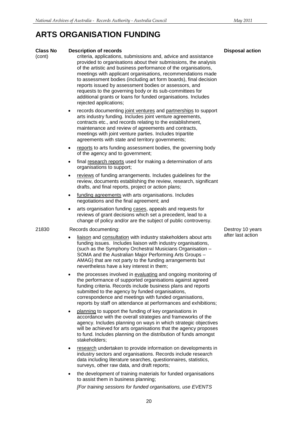## **ARTS ORGANISATION FUNDING**

| <b>Class No</b><br>(cont) | <b>Description of records</b><br>criteria, applications, submissions and, advice and assistance<br>provided to organisations about their submissions, the analysis<br>of the artistic and business performance of the organisations,<br>meetings with applicant organisations, recommendations made<br>to assessment bodies (including art form boards), final decision<br>reports issued by assessment bodies or assessors, and<br>requests to the governing body or its sub-committees for<br>additional grants or loans for funded organisations. Includes<br>rejected applications; | <b>Disposal action</b> |
|---------------------------|-----------------------------------------------------------------------------------------------------------------------------------------------------------------------------------------------------------------------------------------------------------------------------------------------------------------------------------------------------------------------------------------------------------------------------------------------------------------------------------------------------------------------------------------------------------------------------------------|------------------------|
|                           | records documenting joint ventures and partnerships to support<br>$\bullet$<br>arts industry funding. Includes joint venture agreements,<br>contracts etc., and records relating to the establishment,<br>maintenance and review of agreements and contracts,<br>meetings with joint venture parties. Includes tripartite<br>agreements with state and territory governments;                                                                                                                                                                                                           |                        |
|                           | reports to arts funding assessment bodies, the governing body<br>$\bullet$<br>of the agency and to government;                                                                                                                                                                                                                                                                                                                                                                                                                                                                          |                        |
|                           | final research reports used for making a determination of arts<br>$\bullet$<br>organisations to support;                                                                                                                                                                                                                                                                                                                                                                                                                                                                                |                        |
|                           | reviews of funding arrangements. Includes guidelines for the<br>$\bullet$<br>review, documents establishing the review, research, significant<br>drafts, and final reports, project or action plans;                                                                                                                                                                                                                                                                                                                                                                                    |                        |
|                           | funding agreements with arts organisations. Includes<br>$\bullet$<br>negotiations and the final agreement; and                                                                                                                                                                                                                                                                                                                                                                                                                                                                          |                        |
|                           | arts organisation funding cases, appeals and requests for<br>$\bullet$<br>reviews of grant decisions which set a precedent, lead to a<br>change of policy and/or are the subject of public controversy.                                                                                                                                                                                                                                                                                                                                                                                 |                        |
| 21830                     | Records documenting:                                                                                                                                                                                                                                                                                                                                                                                                                                                                                                                                                                    | Destroy 10 years       |
|                           | liaison and consultation with industry stakeholders about arts<br>$\bullet$<br>funding issues. Includes liaison with industry organisations,<br>(such as the Symphony Orchestral Musicians Organisation -<br>SOMA and the Australian Major Performing Arts Groups -<br>AMAG) that are not party to the funding arrangements but<br>nevertheless have a key interest in them;                                                                                                                                                                                                            | after last action      |
|                           | the processes involved in evaluating and ongoing monitoring of<br>the performance of supported organisations against agreed<br>funding criteria. Records include business plans and reports<br>submitted to the agency by funded organisations,<br>correspondence and meetings with funded organisations,<br>reports by staff on attendance at performances and exhibitions;                                                                                                                                                                                                            |                        |
|                           | planning to support the funding of key organisations in<br>$\bullet$<br>accordance with the overall strategies and frameworks of the<br>agency. Includes planning on ways in which strategic objectives<br>will be achieved for arts organisations that the agency proposes<br>to fund. Includes planning on the distribution of funds amongst<br>stakeholders;                                                                                                                                                                                                                         |                        |
|                           | research undertaken to provide information on developments in<br>$\bullet$<br>industry sectors and organisations. Records include research<br>data including literature searches, questionnaires, statistics,<br>surveys, other raw data, and draft reports;                                                                                                                                                                                                                                                                                                                            |                        |
|                           | the development of training materials for funded organisations<br>٠<br>to assist them in business planning;                                                                                                                                                                                                                                                                                                                                                                                                                                                                             |                        |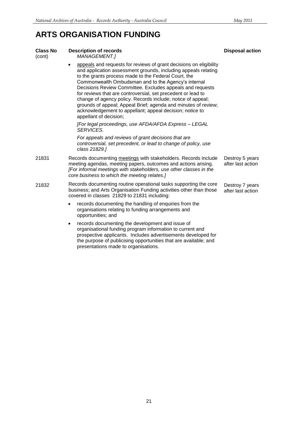## **ARTS ORGANISATION FUNDING**

| <b>Class No</b><br>(cont) | <b>Description of records</b><br>MANAGEMENT.]                                                                                                                                                                                                                                                                                                                                                                                                                                                                                                                                                           | <b>Disposal action</b>               |
|---------------------------|---------------------------------------------------------------------------------------------------------------------------------------------------------------------------------------------------------------------------------------------------------------------------------------------------------------------------------------------------------------------------------------------------------------------------------------------------------------------------------------------------------------------------------------------------------------------------------------------------------|--------------------------------------|
|                           | appeals and requests for reviews of grant decisions on eligibility<br>and application assessment grounds, including appeals relating<br>to the grants process made to the Federal Court, the<br>Commonwealth Ombudsman and to the Agency's internal<br>Decisions Review Committee. Excludes appeals and requests<br>for reviews that are controversial, set precedent or lead to<br>change of agency policy. Records include; notice of appeal;<br>grounds of appeal; Appeal Brief; agenda and minutes of review;<br>acknowledgement to appellant; appeal decision; notice to<br>appellant of decision; |                                      |
|                           | [For legal proceedings, use AFDA/AFDA Express - LEGAL<br><b>SERVICES.</b>                                                                                                                                                                                                                                                                                                                                                                                                                                                                                                                               |                                      |
|                           | For appeals and reviews of grant decisions that are<br>controversial, set precedent, or lead to change of policy, use<br>class 21829.]                                                                                                                                                                                                                                                                                                                                                                                                                                                                  |                                      |
| 21831                     | Records documenting meetings with stakeholders. Records include<br>meeting agendas, meeting papers, outcomes and actions arising.<br>[For informal meetings with stakeholders, use other classes in the<br>core business to which the meeting relates.]                                                                                                                                                                                                                                                                                                                                                 | Destroy 5 years<br>after last action |
| 21832                     | Records documenting routine operational tasks supporting the core<br>business; and Arts Organisation Funding activities other than those<br>covered in classes 21829 to 21831 including:                                                                                                                                                                                                                                                                                                                                                                                                                | Destroy 7 years<br>after last action |
|                           | records documenting the handling of enquiries from the<br>$\bullet$<br>organisations relating to funding arrangements and<br>opportunities; and                                                                                                                                                                                                                                                                                                                                                                                                                                                         |                                      |
|                           | records documenting the development and issue of<br>$\bullet$<br>organisational funding program information to current and<br>prospective applicants. Includes advertisements developed for<br>the purpose of publicising opportunities that are available; and<br>presentations made to organisations.                                                                                                                                                                                                                                                                                                 |                                      |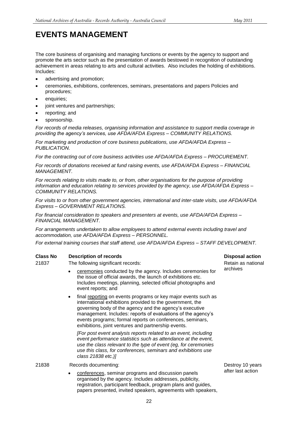### **EVENTS MANAGEMENT**

The core business of organising and managing functions or events by the agency to support and promote the arts sector such as the presentation of awards bestowed in recognition of outstanding achievement in areas relating to arts and cultural activities. Also includes the holding of exhibitions. Includes:

- advertising and promotion;
- ceremonies, exhibitions, conferences, seminars, presentations and papers Policies and procedures;
- enquiries:
- joint ventures and partnerships;
- reporting; and
- sponsorship.

*For records of media releases, organising information and assistance to support media coverage in providing the agency's services, use AFDA/AFDA Express – COMMUNITY RELATIONS.*

*For marketing and production of core business publications, use AFDA/AFDA Express – PUBLICATION.*

*For the contracting out of core business activities use AFDA/AFDA Express – PROCUREMENT.*

*For records of donations received at fund raising events, use AFDA/AFDA Express – FINANCIAL MANAGEMENT.*

*For records relating to visits made to, or from, other organisations for the purpose of providing information and education relating to services provided by the agency, use AFDA/AFDA Express – COMMUNITY RELATIONS.*

*For visits to or from other government agencies, international and inter-state visits, use AFDA/AFDA Express – GOVERNMENT RELATIONS.*

*For financial consideration to speakers and presenters at events, use AFDA/AFDA Express – FINANCIAL MANAGEMENT.*

*For arrangements undertaken to allow employees to attend external events including travel and accommodation, use AFDA/AFDA Express – PERSONNEL.*

*For external training courses that staff attend, use AFDA/AFDA Express – STAFF DEVELOPMENT.*

### **Class No Description of records Disposal action**

### 21837 The following significant records:

- ceremonies conducted by the agency. Includes ceremonies for
	- the issue of official awards, the launch of exhibitions etc. Includes meetings, planning, selected official photographs and event reports; and
	- final reporting on events programs or key major events such as international exhibitions provided to the government, the governing body of the agency and the agency's executive management. Includes: reports of evaluations of the agency's events programs; formal reports on conferences, seminars, exhibitions, joint ventures and partnership events.

*[For post event analysis reports related to an event, including event performance statistics such as attendance at the event, use the class relevant to the type of event (eg, for ceremonies use this class, for conferences, seminars and exhibitions use class 21838 etc.)]*

21838 Records documenting:

 conferences, seminar programs and discussion panels organised by the agency. Includes addresses, publicity, registration, participant feedback, program plans and guides, papers presented, invited speakers, agreements with speakers,

Retain as national archives

Destroy 10 years after last action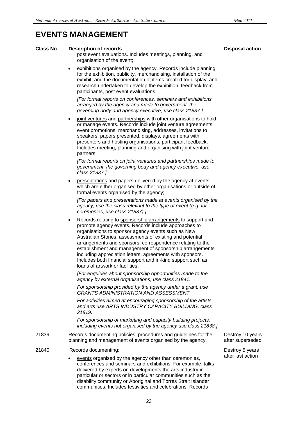### **EVENTS MANAGEMENT**

#### **Class No Description of records Disposal action**

post event evaluations. Includes meetings, planning, and organisation of the event;

 exhibitions organised by the agency. Records include planning for the exhibition, publicity, merchandising, installation of the exhibit, and the documentation of items created for display, and research undertaken to develop the exhibition, feedback from participants, post event evaluations;

*[For formal reports on conferences, seminars and exhibitions arranged by the agency and made to government, the governing body and agency executive, use class 21837.]*

joint ventures and partnerships with other organisations to hold or manage events. Records include joint venture agreements, event promotions, merchandising, addresses, invitations to speakers, papers presented, displays, agreements with presenters and hosting organisations, participant feedback. Includes meeting, planning and organising with joint venture partners;

*[For formal reports on joint ventures and partnerships made to government, the governing body and agency executive, use class 21837.]*

 presentations and papers delivered by the agency at events, which are either organised by other organisations or outside of formal events organised by the agency;

*[For papers and presentations made at events organised by the agency, use the class relevant to the type of event (e.g. for ceremonies, use class 21837).]*

 Records relating to sponsorship arrangements to support and promote agency events. Records include approaches to organisations to sponsor agency events such as New Australian Stories, assessments of existing and potential arrangements and sponsors, correspondence relating to the establishment and management of sponsorship arrangements including appreciation letters, agreements with sponsors. Includes both financial support and in-kind support such as loans of artwork or facilities.

*[For enquiries about sponsorship opportunities made to the agency by external organisations, use class 21841.*

*For sponsorship provided by the agency under a grant, use GRANTS ADMINISTRATION AND ASSESSMENT.*

*For activities aimed at encouraging sponsorship of the artists and arts use ARTS INDUSTRY CAPACITY BUILDING, class 21819.*

*For sponsorship of marketing and capacity building projects, including events not organised by the agency use class 21838.]*

- 21839 Records documenting policies, procedures and guidelines for the planning and management of events organised by the agency.
- 21840 Records documenting:
	- events organised by the agency other than ceremonies, conferences and seminars and exhibitions. For example, talks delivered by experts on developments the arts industry in particular or sectors or in particular communities such as the disability community or Aboriginal and Torres Strait Islander communities. Includes festivities and celebrations. Records

Destroy 10 years after superseded

Destroy 5 years after last action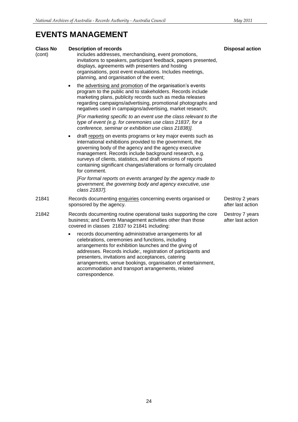### **EVENTS MANAGEMENT**

| <b>Class No</b><br>(cont) | <b>Description of records</b><br>includes addresses, merchandising, event promotions,<br>invitations to speakers, participant feedback, papers presented,<br>displays, agreements with presenters and hosting<br>organisations, post event evaluations. Includes meetings,<br>planning, and organisation of the event;                                                                                                                            | <b>Disposal action</b>               |
|---------------------------|---------------------------------------------------------------------------------------------------------------------------------------------------------------------------------------------------------------------------------------------------------------------------------------------------------------------------------------------------------------------------------------------------------------------------------------------------|--------------------------------------|
|                           | the advertising and promotion of the organisation's events<br>$\bullet$<br>program to the public and to stakeholders. Records include<br>marketing plans, publicity records such as media releases<br>regarding campaigns/advertising, promotional photographs and<br>negatives used in campaigns/advertising, market research;                                                                                                                   |                                      |
|                           | [For marketing specific to an event use the class relevant to the<br>type of event (e.g. for ceremonies use class 21837, for a<br>conference, seminar or exhibition use class 21838)].                                                                                                                                                                                                                                                            |                                      |
|                           | draft reports on events programs or key major events such as<br>٠<br>international exhibitions provided to the government, the<br>governing body of the agency and the agency executive<br>management. Records include background research, e.g.<br>surveys of clients, statistics, and draft versions of reports<br>containing significant changes/alterations or formally circulated<br>for comment.                                            |                                      |
|                           | [For formal reports on events arranged by the agency made to<br>government, the governing body and agency executive, use<br>class 21837].                                                                                                                                                                                                                                                                                                         |                                      |
| 21841                     | Records documenting enquiries concerning events organised or<br>sponsored by the agency.                                                                                                                                                                                                                                                                                                                                                          | Destroy 2 years<br>after last action |
| 21842                     | Records documenting routine operational tasks supporting the core<br>business; and Events Management activities other than those<br>covered in classes 21837 to 21841 including:                                                                                                                                                                                                                                                                  | Destroy 7 years<br>after last action |
|                           | records documenting administrative arrangements for all<br>$\bullet$<br>celebrations, ceremonies and functions, including<br>arrangements for exhibition launches and the giving of<br>addresses. Records include:, registration of participants and<br>presenters, invitations and acceptances, catering<br>arrangements, venue bookings, organisation of entertainment,<br>accommodation and transport arrangements, related<br>correspondence. |                                      |
|                           |                                                                                                                                                                                                                                                                                                                                                                                                                                                   |                                      |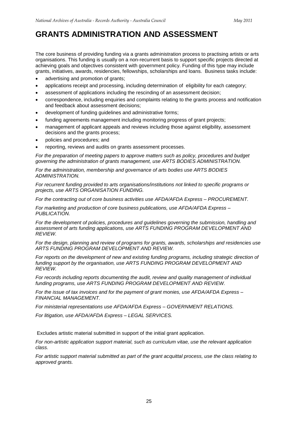The core business of providing funding via a grants administration process to practising artists or arts organisations. This funding is usually on a non-recurrent basis to support specific projects directed at achieving goals and objectives consistent with government policy. Funding of this type may include grants, initiatives, awards, residencies, fellowships, scholarships and loans. Business tasks include:

- advertising and promotion of grants;
- applications receipt and processing, including determination of eligibility for each category;
- assessment of applications including the rescinding of an assessment decision;
- correspondence, including enquiries and complaints relating to the grants process and notification and feedback about assessment decisions;
- development of funding guidelines and administrative forms;
- funding agreements management including monitoring progress of grant projects;
- management of applicant appeals and reviews including those against eligibility, assessment decisions and the grants process;
- policies and procedures; and
- reporting, reviews and audits on grants assessment processes.

*For the preparation of meeting papers to approve matters such as policy, procedures and budget governing the administration of grants management, use ARTS BODIES ADMINISTRATION.* 

*For the administration, membership and governance of arts bodies use ARTS BODIES ADMINISTRATION.*

*For recurrent funding provided to arts organisations/institutions not linked to specific programs or projects, use ARTS ORGANISATION FUNDING.*

*For the contracting out of core business activities use AFDA/AFDA Express – PROCUREMENT.*

*For marketing and production of core business publications, use AFDA/AFDA Express – PUBLICATION.*

*For the development of policies, procedures and guidelines governing the submission, handling and assessment of arts funding applications, use ARTS FUNDING PROGRAM DEVELOPMENT AND REVIEW.*

*For the design, planning and review of programs for grants, awards, scholarships and residencies use ARTS FUNDING PROGRAM DEVELOPMENT AND REVIEW.*

*For reports on the development of new and existing funding programs, including strategic direction of funding support by the organisation, use ARTS FUNDING PROGRAM DEVELOPMENT AND REVIEW.*

*For records including reports documenting the audit, review and quality management of individual funding programs, use ARTS FUNDING PROGRAM DEVELOPMENT AND REVIEW.*

*For the issue of tax invoices and for the payment of grant monies, use AFDA/AFDA Express – FINANCIAL MANAGEMENT.*

*For ministerial representations use AFDA/AFDA Express – GOVERNMENT RELATIONS.*

*For litigation, use AFDA/AFDA Express – LEGAL SERVICES.*

Excludes artistic material submitted in support of the initial grant application.

*For non-artistic application support material, such as curriculum vitae, use the relevant application class.*

*For artistic support material submitted as part of the grant acquittal process, use the class relating to approved grants.*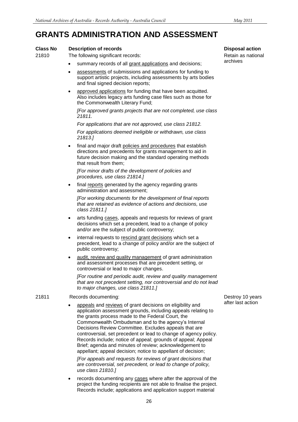### **Class No Description of records Disposal action**

### 21810 The following significant records:

- summary records of all grant applications and decisions;
- assessments of submissions and applications for funding to support artistic projects, including assessments by arts bodies and final signed decision reports;
- approved applications for funding that have been acquitted. Also includes legacy arts funding case files such as those for the Commonwealth Literary Fund;

*[For approved grants projects that are not completed, use class 21811.*

*For applications that are not approved, use class 21812.*

*For applications deemed ineligible or withdrawn, use class 21813.]*

 final and major draft policies and procedures that establish directions and precedents for grants management to aid in future decision making and the standard operating methods that result from them;

*[For minor drafts of the development of policies and procedures, use class 21814.]*

final reports generated by the agency regarding grants administration and assessment;

*[For working documents for the development of final reports that are retained as evidence of actions and decisions, use class 21811.]*

- arts funding cases, appeals and requests for reviews of grant decisions which set a precedent, lead to a change of policy and/or are the subject of public controversy;
- internal requests to rescind grant decisions which set a precedent, lead to a change of policy and/or are the subject of public controversy;
- audit, review and quality management of grant administration and assessment processes that are precedent setting, or controversial or lead to major changes.

*[For routine and periodic audit, review and quality management that are not precedent setting, nor controversial and do not lead to major changes, use class 21811.]*

#### 21811 Records documenting:

 appeals and reviews of grant decisions on eligibility and application assessment grounds, including appeals relating to the grants process made to the Federal Court, the Commonwealth Ombudsman and to the agency's Internal Decisions Review Committee. Excludes appeals that are controversial, set precedent or lead to change of agency policy. Records include; notice of appeal; grounds of appeal; Appeal Brief; agenda and minutes of review; acknowledgement to appellant; appeal decision; notice to appellant of decision;

*[For appeals and requests for reviews of grant decisions that are controversial, set precedent, or lead to change of policy, use class 21810.]*

 records documenting any cases where after the approval of the project the funding recipients are not able to finalise the project. Records include; applications and application support material

Retain as national archives

Destroy 10 years after last action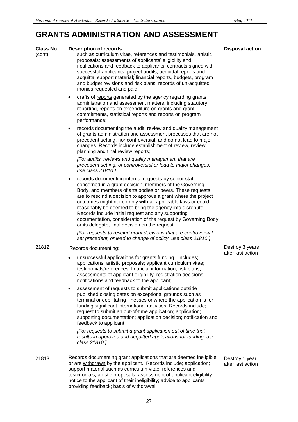#### **Class No Description of records Disposal action**

- (cont) such as curriculum vitae, references and testimonials, artistic proposals; assessments of applicants' eligibility and notifications and feedback to applicants; contracts signed with successful applicants; project audits, acquittal reports and acquittal support material; financial reports, budgets, program and budget revisions and risk plans; records of un-acquitted monies requested and paid;
	- drafts of reports generated by the agency regarding grants administration and assessment matters, including statutory reporting, reports on expenditure on grants and grant commitments, statistical reports and reports on program performance;
	- records documenting the audit, review and quality management of grants administration and assessment processes that are not precedent setting, nor controversial, and do not lead to major changes. Records include establishment of review, review planning and final review reports;

*[For audits, reviews and quality management that are precedent setting, or controversial or lead to major changes, use class 21810.]*

 records documenting internal requests by senior staff concerned in a grant decision, members of the Governing Body, and members of arts bodies or peers. These requests are to rescind a decision to approve a grant where the project outcomes might not comply with all applicable laws or could reasonably be deemed to bring the agency into disrepute. Records include initial request and any supporting documentation, consideration of the request by Governing Body or its delegate, final decision on the request.

*[For requests to rescind grant decisions that are controversial, set precedent, or lead to change of policy, use class 21810.]*

### 21812 Records documenting:

- unsuccessful applications for grants funding. Includes; applications; artistic proposals; applicant curriculum vitae; testimonials/references; financial information; risk plans; assessments of applicant eligibility; registration decisions; notifications and feedback to the applicant;
- assessment of requests to submit applications outside published closing dates on exceptional grounds such as terminal or debilitating illnesses or where the application is for funding significant international activities. Records include; request to submit an out-of-time application; application; supporting documentation; application decision; notification and feedback to applicant;

*[For requests to submit a grant application out of time that results in approved and acquitted applications for funding, use class 21810.]*

21813 Records documenting grant applications that are deemed ineligible or are withdrawn by the applicant. Records include; application; support material such as curriculum vitae, references and testimonials, artistic proposals; assessment of applicant eligibility; notice to the applicant of their ineligibility; advice to applicants providing feedback; basis of withdrawal.

Destroy 3 years after last action

Destroy 1 year after last action